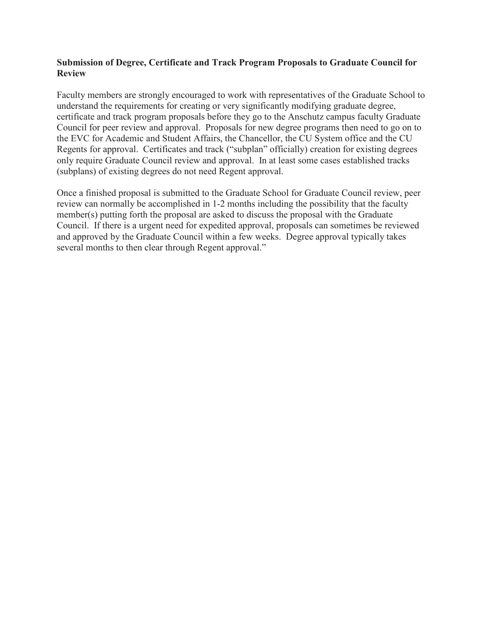### **Submission of Degree, Certificate and Track Program Proposals to Graduate Council for Review**

Faculty members are strongly encouraged to work with representatives of the Graduate School to understand the requirements for creating or very significantly modifying graduate degree, certificate and track program proposals before they go to the Anschutz campus faculty Graduate Council for peer review and approval. Proposals for new degree programs then need to go on to the EVC for Academic and Student Affairs, the Chancellor, the CU System office and the CU Regents for approval. Certificates and track ("subplan" officially) creation for existing degrees only require Graduate Council review and approval. In at least some cases established tracks (subplans) of existing degrees do not need Regent approval.

Once a finished proposal is submitted to the Graduate School for Graduate Council review, peer review can normally be accomplished in 1-2 months including the possibility that the faculty member(s) putting forth the proposal are asked to discuss the proposal with the Graduate Council. If there is a urgent need for expedited approval, proposals can sometimes be reviewed and approved by the Graduate Council within a few weeks. Degree approval typically takes several months to then clear through Regent approval."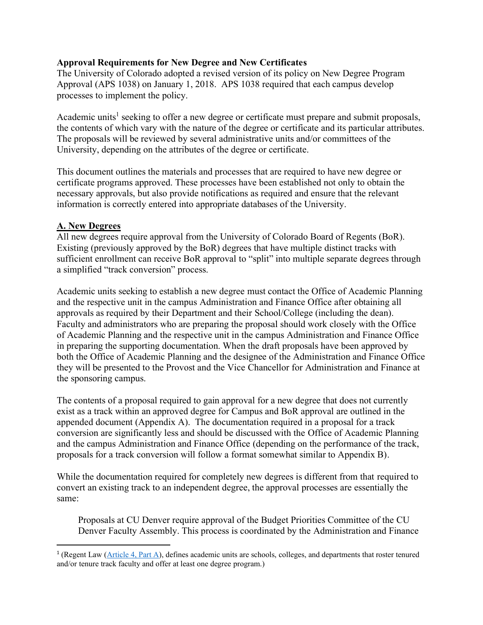### **Approval Requirements for New Degree and New Certificates**

The University of Colorado adopted a revised version of its policy on New Degree Program Approval (APS 1038) on January 1, 2018. APS 1038 required that each campus develop processes to implement the policy.

Academic units<sup>1</sup> seeking to offer a new degree or certificate must prepare and submit proposals, the contents of which vary with the nature of the degree or certificate and its particular attributes. The proposals will be reviewed by several administrative units and/or committees of the University, depending on the attributes of the degree or certificate.

This document outlines the materials and processes that are required to have new degree or certificate programs approved. These processes have been established not only to obtain the necessary approvals, but also provide notifications as required and ensure that the relevant information is correctly entered into appropriate databases of the University.

#### **A. New Degrees**

All new degrees require approval from the University of Colorado Board of Regents (BoR). Existing (previously approved by the BoR) degrees that have multiple distinct tracks with sufficient enrollment can receive BoR approval to "split" into multiple separate degrees through a simplified "track conversion" process.

Academic units seeking to establish a new degree must contact the Office of Academic Planning and the respective unit in the campus Administration and Finance Office after obtaining all approvals as required by their Department and their School/College (including the dean). Faculty and administrators who are preparing the proposal should work closely with the Office of Academic Planning and the respective unit in the campus Administration and Finance Office in preparing the supporting documentation. When the draft proposals have been approved by both the Office of Academic Planning and the designee of the Administration and Finance Office they will be presented to the Provost and the Vice Chancellor for Administration and Finance at the sponsoring campus.

The contents of a proposal required to gain approval for a new degree that does not currently exist as a track within an approved degree for Campus and BoR approval are outlined in the appended document (Appendix A). The documentation required in a proposal for a track conversion are significantly less and should be discussed with the Office of Academic Planning and the campus Administration and Finance Office (depending on the performance of the track, proposals for a track conversion will follow a format somewhat similar to Appendix B).

While the documentation required for completely new degrees is different from that required to convert an existing track to an independent degree, the approval processes are essentially the same:

Proposals at CU Denver require approval of the Budget Priorities Committee of the CU Denver Faculty Assembly. This process is coordinated by the Administration and Finance

<sup>&</sup>lt;sup>1</sup> (Regent Law ( $\overline{\text{Article 4, Part A}}$ ), defines academic units are schools, colleges, and departments that roster tenured and/or tenure track faculty and offer at least one degree program.)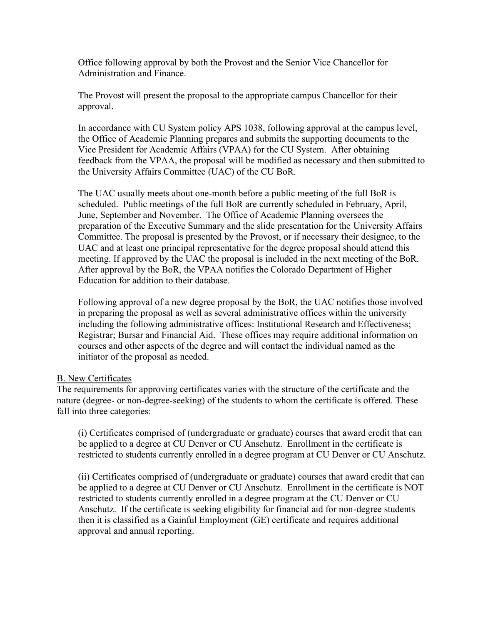Office following approval by both the Provost and the Senior Vice Chancellor for Administration and Finance.

The Provost will present the proposal to the appropriate campus Chancellor for their approval.

In accordance with CU System policy APS 1038, following approval at the campus level, the Office of Academic Planning prepares and submits the supporting documents to the Vice President for Academic Affairs (VPAA) for the CU System. After obtaining feedback from the VPAA, the proposal will be modified as necessary and then submitted to the University Affairs Committee (UAC) of the CU BoR.

The UAC usually meets about one-month before a public meeting of the full BoR is scheduled. Public meetings of the full BoR are currently scheduled in February, April, June, September and November. The Office of Academic Planning oversees the preparation of the Executive Summary and the slide presentation for the University Affairs Committee. The proposal is presented by the Provost, or if necessary their designee, to the UAC and at least one principal representative for the degree proposal should attend this meeting. If approved by the UAC the proposal is included in the next meeting of the BoR. After approval by the BoR, the VPAA notifies the Colorado Department of Higher Education for addition to their database.

Following approval of a new degree proposal by the BoR, the UAC notifies those involved in preparing the proposal as well as several administrative offices within the university including the following administrative offices: Institutional Research and Effectiveness; Registrar; Bursar and Financial Aid. These offices may require additional information on courses and other aspects of the degree and will contact the individual named as the initiator of the proposal as needed.

#### B. New Certificates

The requirements for approving certificates varies with the structure of the certificate and the nature (degree- or non-degree-seeking) of the students to whom the certificate is offered. These fall into three categories:

(i) Certificates comprised of (undergraduate or graduate) courses that award credit that can be applied to a degree at CU Denver or CU Anschutz. Enrollment in the certificate is restricted to students currently enrolled in a degree program at CU Denver or CU Anschutz.

(ii) Certificates comprised of (undergraduate or graduate) courses that award credit that can be applied to a degree at CU Denver or CU Anschutz. Enrollment in the certificate is NOT restricted to students currently enrolled in a degree program at the CU Denver or CU Anschutz. If the certificate is seeking eligibility for financial aid for non-degree students then it is classified as a Gainful Employment (GE) certificate and requires additional approval and annual reporting.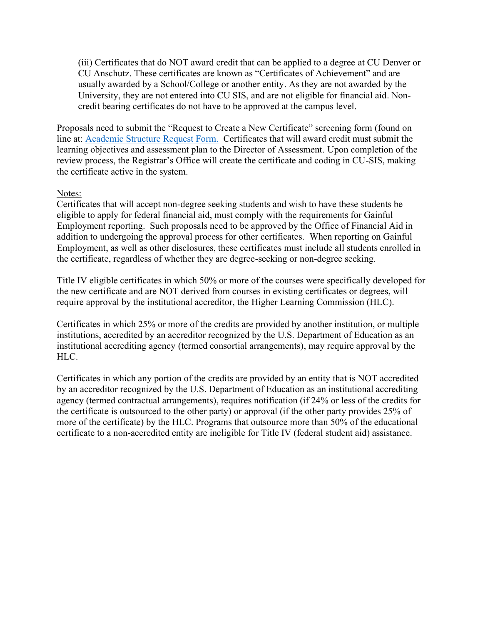(iii) Certificates that do NOT award credit that can be applied to a degree at CU Denver or CU Anschutz. These certificates are known as "Certificates of Achievement" and are usually awarded by a School/College or another entity. As they are not awarded by the University, they are not entered into CU SIS, and are not eligible for financial aid. Noncredit bearing certificates do not have to be approved at the campus level.

Proposals need to submit the "Request to Create a New Certificate" screening form (found on line at: [Academic Structure Request Form.](https://ucdenverdata.formstack.com/forms/sso_reg_academic_structure_request?sso=5e679c9780009&sso=5e67ae2a6fd8b) Certificates that will award credit must submit the learning objectives and assessment plan to the Director of Assessment. Upon completion of the review process, the Registrar's Office will create the certificate and coding in CU-SIS, making the certificate active in the system.

#### Notes:

Certificates that will accept non-degree seeking students and wish to have these students be eligible to apply for federal financial aid, must comply with the requirements for Gainful Employment reporting. Such proposals need to be approved by the Office of Financial Aid in addition to undergoing the approval process for other certificates. When reporting on Gainful Employment, as well as other disclosures, these certificates must include all students enrolled in the certificate, regardless of whether they are degree-seeking or non-degree seeking.

Title IV eligible certificates in which 50% or more of the courses were specifically developed for the new certificate and are NOT derived from courses in existing certificates or degrees, will require approval by the institutional accreditor, the Higher Learning Commission (HLC).

Certificates in which 25% or more of the credits are provided by another institution, or multiple institutions, accredited by an accreditor recognized by the U.S. Department of Education as an institutional accrediting agency (termed consortial arrangements), may require approval by the HLC.

Certificates in which any portion of the credits are provided by an entity that is NOT accredited by an accreditor recognized by the U.S. Department of Education as an institutional accrediting agency (termed contractual arrangements), requires notification (if 24% or less of the credits for the certificate is outsourced to the other party) or approval (if the other party provides 25% of more of the certificate) by the HLC. Programs that outsource more than 50% of the educational certificate to a non-accredited entity are ineligible for Title IV (federal student aid) assistance.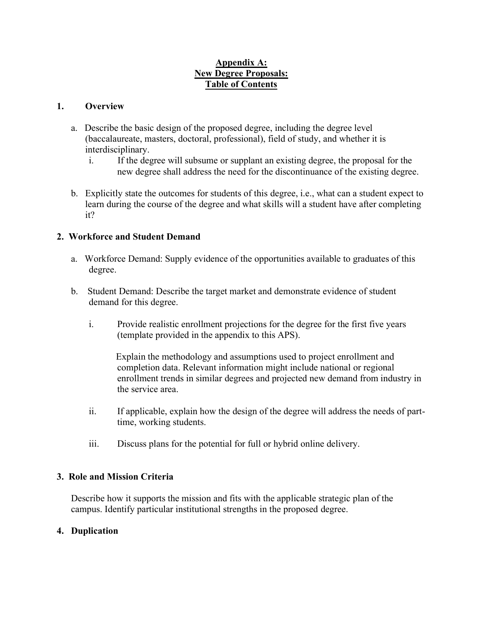# **Appendix A: New Degree Proposals: Table of Contents**

### **1. Overview**

- a. Describe the basic design of the proposed degree, including the degree level (baccalaureate, masters, doctoral, professional), field of study, and whether it is interdisciplinary.
	- i. If the degree will subsume or supplant an existing degree, the proposal for the new degree shall address the need for the discontinuance of the existing degree.
- b. Explicitly state the outcomes for students of this degree, i.e., what can a student expect to learn during the course of the degree and what skills will a student have after completing it?

# **2. Workforce and Student Demand**

- a. Workforce Demand: Supply evidence of the opportunities available to graduates of this degree.
- b. Student Demand: Describe the target market and demonstrate evidence of student demand for this degree.
	- i. Provide realistic enrollment projections for the degree for the first five years (template provided in the appendix to this APS).

Explain the methodology and assumptions used to project enrollment and completion data. Relevant information might include national or regional enrollment trends in similar degrees and projected new demand from industry in the service area.

- ii. If applicable, explain how the design of the degree will address the needs of parttime, working students.
- iii. Discuss plans for the potential for full or hybrid online delivery.

#### **3. Role and Mission Criteria**

Describe how it supports the mission and fits with the applicable strategic plan of the campus. Identify particular institutional strengths in the proposed degree.

#### **4. Duplication**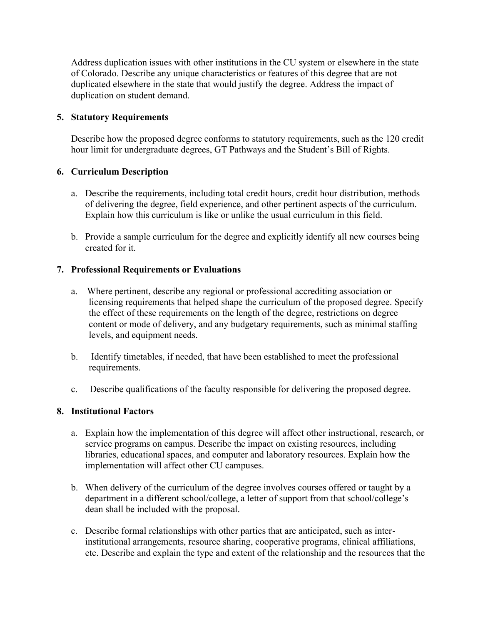Address duplication issues with other institutions in the CU system or elsewhere in the state of Colorado. Describe any unique characteristics or features of this degree that are not duplicated elsewhere in the state that would justify the degree. Address the impact of duplication on student demand.

# **5. Statutory Requirements**

Describe how the proposed degree conforms to statutory requirements, such as the 120 credit hour limit for undergraduate degrees, GT Pathways and the Student's Bill of Rights.

# **6. Curriculum Description**

- a. Describe the requirements, including total credit hours, credit hour distribution, methods of delivering the degree, field experience, and other pertinent aspects of the curriculum. Explain how this curriculum is like or unlike the usual curriculum in this field.
- b. Provide a sample curriculum for the degree and explicitly identify all new courses being created for it.

# **7. Professional Requirements or Evaluations**

- a. Where pertinent, describe any regional or professional accrediting association or licensing requirements that helped shape the curriculum of the proposed degree. Specify the effect of these requirements on the length of the degree, restrictions on degree content or mode of delivery, and any budgetary requirements, such as minimal staffing levels, and equipment needs.
- b. Identify timetables, if needed, that have been established to meet the professional requirements.
- c. Describe qualifications of the faculty responsible for delivering the proposed degree.

# **8. Institutional Factors**

- a. Explain how the implementation of this degree will affect other instructional, research, or service programs on campus. Describe the impact on existing resources, including libraries, educational spaces, and computer and laboratory resources. Explain how the implementation will affect other CU campuses.
- b. When delivery of the curriculum of the degree involves courses offered or taught by a department in a different school/college, a letter of support from that school/college's dean shall be included with the proposal.
- c. Describe formal relationships with other parties that are anticipated, such as interinstitutional arrangements, resource sharing, cooperative programs, clinical affiliations, etc. Describe and explain the type and extent of the relationship and the resources that the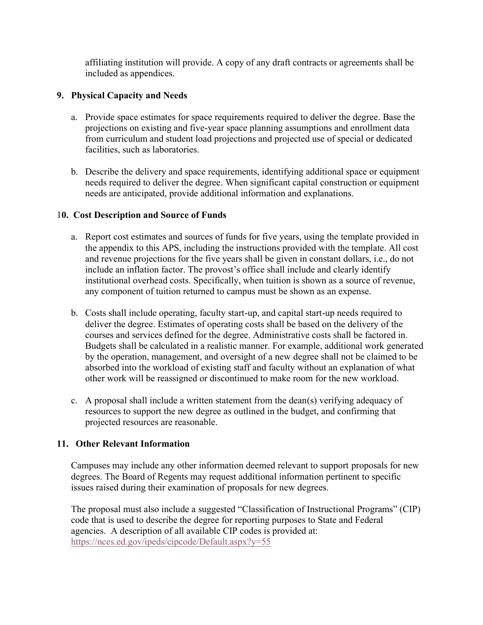affiliating institution will provide. A copy of any draft contracts or agreements shall be included as appendices.

## **9. Physical Capacity and Needs**

- a. Provide space estimates for space requirements required to deliver the degree. Base the projections on existing and five-year space planning assumptions and enrollment data from curriculum and student load projections and projected use of special or dedicated facilities, such as laboratories.
- b. Describe the delivery and space requirements, identifying additional space or equipment needs required to deliver the degree. When significant capital construction or equipment needs are anticipated, provide additional information and explanations.

### 1**0. Cost Description and Source of Funds**

- a. Report cost estimates and sources of funds for five years, using the template provided in the appendix to this APS, including the instructions provided with the template. All cost and revenue projections for the five years shall be given in constant dollars, i.e., do not include an inflation factor. The provost's office shall include and clearly identify institutional overhead costs. Specifically, when tuition is shown as a source of revenue, any component of tuition returned to campus must be shown as an expense.
- b. Costs shall include operating, faculty start-up, and capital start-up needs required to deliver the degree. Estimates of operating costs shall be based on the delivery of the courses and services defined for the degree. Administrative costs shall be factored in. Budgets shall be calculated in a realistic manner. For example, additional work generated by the operation, management, and oversight of a new degree shall not be claimed to be absorbed into the workload of existing staff and faculty without an explanation of what other work will be reassigned or discontinued to make room for the new workload.
- c. A proposal shall include a written statement from the dean(s) verifying adequacy of resources to support the new degree as outlined in the budget, and confirming that projected resources are reasonable.

# **11. Other Relevant Information**

Campuses may include any other information deemed relevant to support proposals for new degrees. The Board of Regents may request additional information pertinent to specific issues raised during their examination of proposals for new degrees.

The proposal must also include a suggested "Classification of Instructional Programs" (CIP) code that is used to describe the degree for reporting purposes to State and Federal agencies. A description of all available CIP codes is provided at: <https://nces.ed.gov/ipeds/cipcode/Default.aspx?y=55>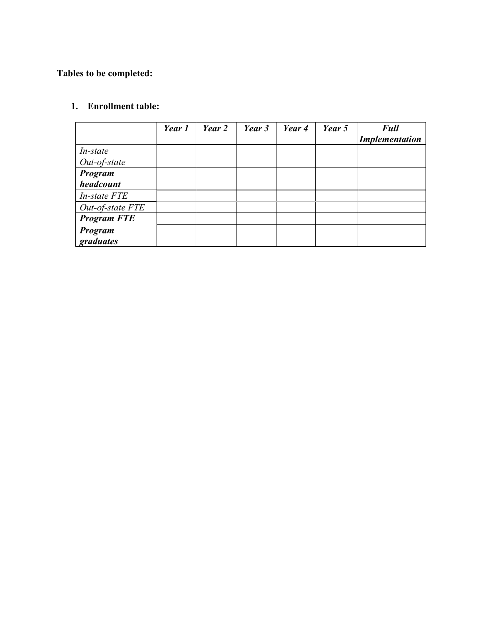# **Tables to be completed:**

# **1. Enrollment table:**

|                    | Year 1 | Year 2 | Year 3 | Year 4 | Year 5 | <b>Full</b><br><b>Implementation</b> |
|--------------------|--------|--------|--------|--------|--------|--------------------------------------|
| <i>In-state</i>    |        |        |        |        |        |                                      |
| Out-of-state       |        |        |        |        |        |                                      |
| Program            |        |        |        |        |        |                                      |
| headcount          |        |        |        |        |        |                                      |
| In-state FTE       |        |        |        |        |        |                                      |
| Out-of-state FTE   |        |        |        |        |        |                                      |
| <b>Program FTE</b> |        |        |        |        |        |                                      |
| Program            |        |        |        |        |        |                                      |
| graduates          |        |        |        |        |        |                                      |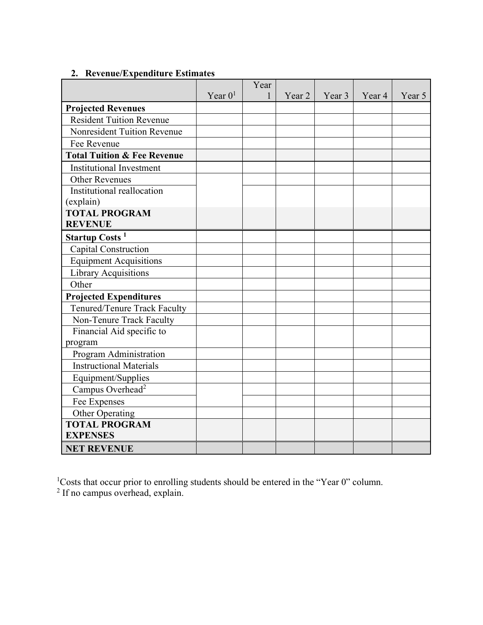# Year  $0<sup>1</sup>$ Year 1 Year 2 Year 3 Year 4 Year 5 **Projected Revenues** Resident Tuition Revenue Nonresident Tuition Revenue Fee Revenue **Total Tuition & Fee Revenue** Institutional Investment Other Revenues Institutional reallocation (explain) **TOTAL PROGRAM REVENUE Startup Costs <sup>1</sup>** Capital Construction Equipment Acquisitions Library Acquisitions **Other Projected Expenditures** Tenured/Tenure Track Faculty Non-Tenure Track Faculty Financial Aid specific to program Program Administration Instructional Materials Equipment/Supplies Campus Overhead<sup>2</sup> Fee Expenses Other Operating **TOTAL PROGRAM EXPENSES NET REVENUE**

# **2. Revenue/Expenditure Estimates**

<sup>1</sup>Costs that occur prior to enrolling students should be entered in the "Year 0" column.

 $2$  If no campus overhead, explain.